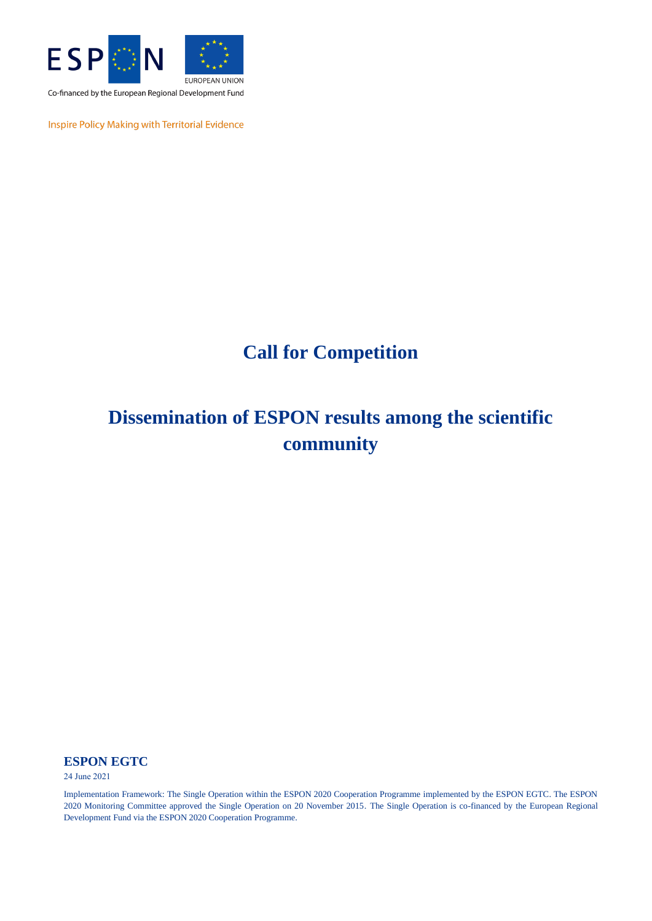

Co-financed by the European Regional Development Fund

Inspire Policy Making with Territorial Evidence

# **Call for Competition**

# **Dissemination of ESPON results among the scientific community**

### **ESPON EGTC**

24 June 2021

Implementation Framework: The Single Operation within the ESPON 2020 Cooperation Programme implemented by the ESPON EGTC. The ESPON 2020 Monitoring Committee approved the Single Operation on 20 November 2015. The Single Operation is co-financed by the European Regional Development Fund via the ESPON 2020 Cooperation Programme.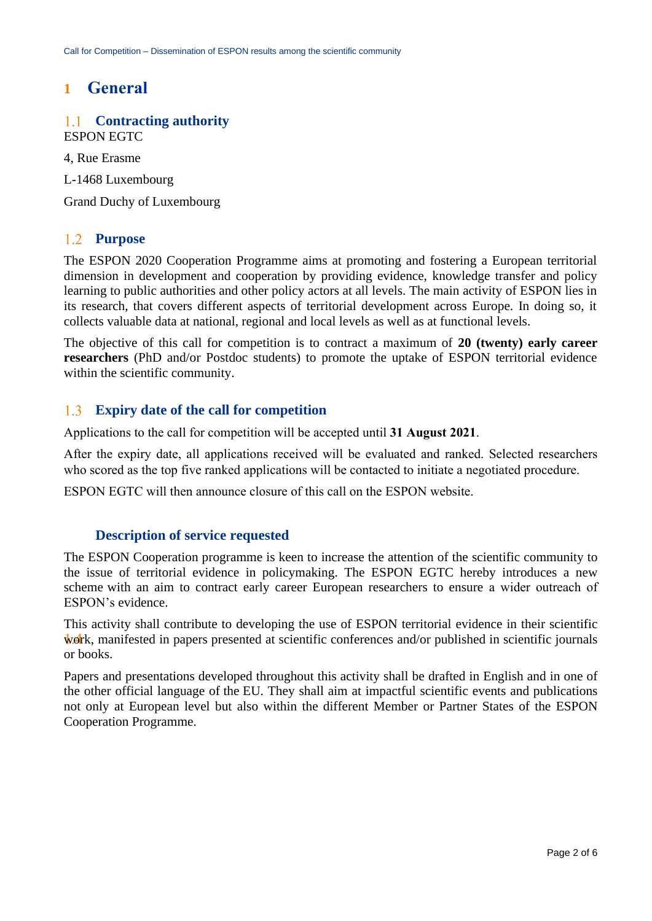## **1 General**

#### **Contracting authority**  $1.1$ ESPON EGTC

4, Rue Erasme

L-1468 Luxembourg

Grand Duchy of Luxembourg

#### $1.2$ **Purpose**

The ESPON 2020 Cooperation Programme aims at promoting and fostering a European territorial dimension in development and cooperation by providing evidence, knowledge transfer and policy learning to public authorities and other policy actors at all levels. The main activity of ESPON lies in its research, that covers different aspects of territorial development across Europe. In doing so, it collects valuable data at national, regional and local levels as well as at functional levels.

The objective of this call for competition is to contract a maximum of **20 (twenty) early career researchers** (PhD and/or Postdoc students) to promote the uptake of ESPON territorial evidence within the scientific community.

#### $1.3$ **Expiry date of the call for competition**

Applications to the call for competition will be accepted until **31 August 2021**.

After the expiry date, all applications received will be evaluated and ranked. Selected researchers who scored as the top five ranked applications will be contacted to initiate a negotiated procedure.

ESPON EGTC will then announce closure of this call on the ESPON website.

### **Description of service requested**

The ESPON Cooperation programme is keen to increase the attention of the scientific community to the issue of territorial evidence in policymaking. The ESPON EGTC hereby introduces a new scheme with an aim to contract early career European researchers to ensure a wider outreach of ESPON's evidence.

This activity shall contribute to developing the use of ESPON territorial evidence in their scientific work, manifested in papers presented at scientific conferences and/or published in scientific journals or books.

Papers and presentations developed throughout this activity shall be drafted in English and in one of the other official language of the EU. They shall aim at impactful scientific events and publications not only at European level but also within the different Member or Partner States of the ESPON Cooperation Programme.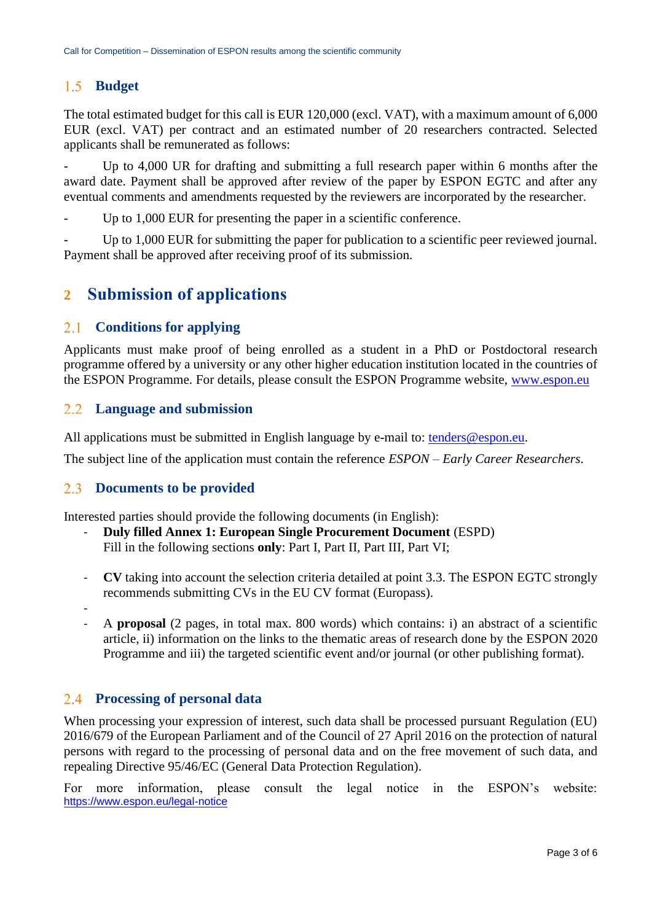#### **Budget**   $1.5$

The total estimated budget for this call is EUR 120,000 (excl. VAT), with a maximum amount of 6,000 EUR (excl. VAT) per contract and an estimated number of 20 researchers contracted. Selected applicants shall be remunerated as follows:

Up to 4,000 UR for drafting and submitting a full research paper within 6 months after the award date. Payment shall be approved after review of the paper by ESPON EGTC and after any eventual comments and amendments requested by the reviewers are incorporated by the researcher.

Up to 1,000 EUR for presenting the paper in a scientific conference.

Up to 1,000 EUR for submitting the paper for publication to a scientific peer reviewed journal. Payment shall be approved after receiving proof of its submission.

## **2 Submission of applications**

#### 2.1 **Conditions for applying**

Applicants must make proof of being enrolled as a student in a PhD or Postdoctoral research programme offered by a university or any other higher education institution located in the countries of the ESPON Programme. For details, please consult the ESPON Programme website, [www.espon.eu](http://www.espon.eu/)

#### $2.2$ **Language and submission**

All applications must be submitted in English language by e-mail to: [tenders@espon.eu.](mailto:tenders@espon.eu)

The subject line of the application must contain the reference *ESPON – Early Career Researchers*.

#### $2.3$ **Documents to be provided**

Interested parties should provide the following documents (in English):

- **Duly filled Annex 1: European Single Procurement Document** (ESPD) Fill in the following sections **only**: Part I, Part II, Part III, Part VI;
- **CV** taking into account the selection criteria detailed at point 3.3. The ESPON EGTC strongly recommends submitting CVs in the EU CV format (Europass).
- - A **proposal** (2 pages, in total max. 800 words) which contains: i) an abstract of a scientific article, ii) information on the links to the thematic areas of research done by the ESPON 2020 Programme and iii) the targeted scientific event and/or journal (or other publishing format).

### **Processing of personal data**

When processing your expression of interest, such data shall be processed pursuant Regulation (EU) 2016/679 of the European Parliament and of the Council of 27 April 2016 on the protection of natural persons with regard to the processing of personal data and on the free movement of such data, and repealing Directive 95/46/EC (General Data Protection Regulation).

For more information, please consult the legal notice in the ESPON's website: <https://www.espon.eu/legal-notice>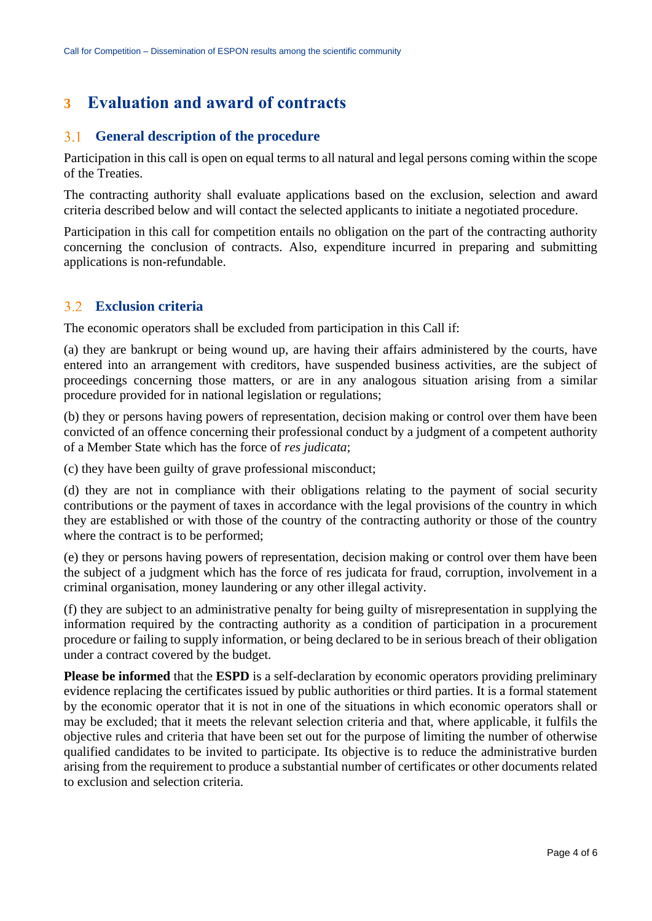## **3 Evaluation and award of contracts**

#### $3.1$ **General description of the procedure**

Participation in this call is open on equal terms to all natural and legal persons coming within the scope of the Treaties.

The contracting authority shall evaluate applications based on the exclusion, selection and award criteria described below and will contact the selected applicants to initiate a negotiated procedure.

Participation in this call for competition entails no obligation on the part of the contracting authority concerning the conclusion of contracts. Also, expenditure incurred in preparing and submitting applications is non-refundable.

#### $3.2$ **Exclusion criteria**

The economic operators shall be excluded from participation in this Call if:

(a) they are bankrupt or being wound up, are having their affairs administered by the courts, have entered into an arrangement with creditors, have suspended business activities, are the subject of proceedings concerning those matters, or are in any analogous situation arising from a similar procedure provided for in national legislation or regulations;

(b) they or persons having powers of representation, decision making or control over them have been convicted of an offence concerning their professional conduct by a judgment of a competent authority of a Member State which has the force of *res judicata*;

(c) they have been guilty of grave professional misconduct;

(d) they are not in compliance with their obligations relating to the payment of social security contributions or the payment of taxes in accordance with the legal provisions of the country in which they are established or with those of the country of the contracting authority or those of the country where the contract is to be performed;

(e) they or persons having powers of representation, decision making or control over them have been the subject of a judgment which has the force of res judicata for fraud, corruption, involvement in a criminal organisation, money laundering or any other illegal activity.

(f) they are subject to an administrative penalty for being guilty of misrepresentation in supplying the information required by the contracting authority as a condition of participation in a procurement procedure or failing to supply information, or being declared to be in serious breach of their obligation under a contract covered by the budget.

**Please be informed** that the **ESPD** is a self-declaration by economic operators providing preliminary evidence replacing the certificates issued by public authorities or third parties. It is a formal statement by the economic operator that it is not in one of the situations in which economic operators shall or may be excluded; that it meets the relevant selection criteria and that, where applicable, it fulfils the objective rules and criteria that have been set out for the purpose of limiting the number of otherwise qualified candidates to be invited to participate. Its objective is to reduce the administrative burden arising from the requirement to produce a substantial number of certificates or other documents related to exclusion and selection criteria.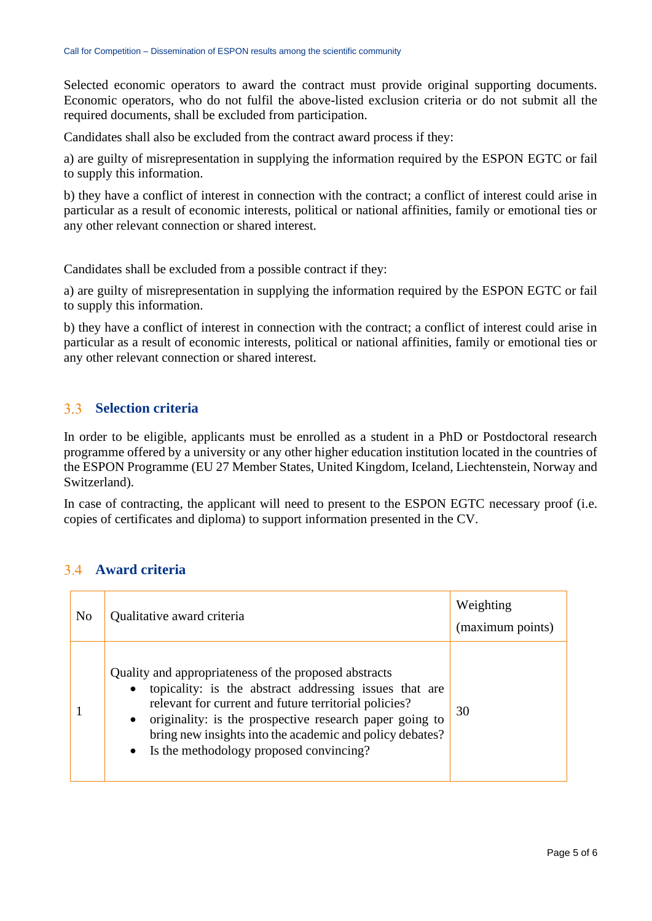Selected economic operators to award the contract must provide original supporting documents. Economic operators, who do not fulfil the above-listed exclusion criteria or do not submit all the required documents, shall be excluded from participation.

Candidates shall also be excluded from the contract award process if they:

a) are guilty of misrepresentation in supplying the information required by the ESPON EGTC or fail to supply this information.

b) they have a conflict of interest in connection with the contract; a conflict of interest could arise in particular as a result of economic interests, political or national affinities, family or emotional ties or any other relevant connection or shared interest.

Candidates shall be excluded from a possible contract if they:

a) are guilty of misrepresentation in supplying the information required by the ESPON EGTC or fail to supply this information.

b) they have a conflict of interest in connection with the contract; a conflict of interest could arise in particular as a result of economic interests, political or national affinities, family or emotional ties or any other relevant connection or shared interest.

#### $3<sup>3</sup>$ **Selection criteria**

In order to be eligible, applicants must be enrolled as a student in a PhD or Postdoctoral research programme offered by a university or any other higher education institution located in the countries of the ESPON Programme (EU 27 Member States, United Kingdom, Iceland, Liechtenstein, Norway and Switzerland).

In case of contracting, the applicant will need to present to the ESPON EGTC necessary proof (i.e. copies of certificates and diploma) to support information presented in the CV.

## **Award criteria**

| N <sub>0</sub> | Qualitative award criteria                                                                                                                                                                                                                                                                                                                                  | Weighting<br>(maximum points) |
|----------------|-------------------------------------------------------------------------------------------------------------------------------------------------------------------------------------------------------------------------------------------------------------------------------------------------------------------------------------------------------------|-------------------------------|
|                | Quality and appropriateness of the proposed abstracts<br>• topicality: is the abstract addressing issues that are<br>relevant for current and future territorial policies?<br>• originality: is the prospective research paper going to<br>bring new insights into the academic and policy debates?<br>Is the methodology proposed convincing?<br>$\bullet$ | 30                            |